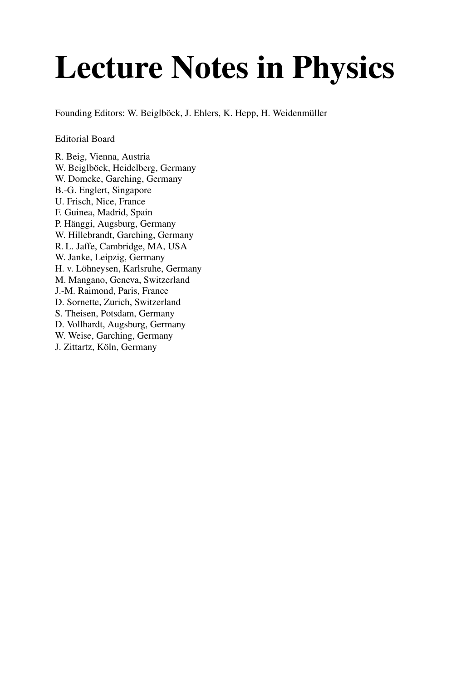# **Lecture Notes in Physics**

Founding Editors: W. Beiglböck, J. Ehlers, K. Hepp, H. Weidenmüller

#### Editorial Board

R. Beig, Vienna, Austria W. Beiglböck, Heidelberg, Germany W. Domcke, Garching, Germany B.-G. Englert, Singapore U. Frisch, Nice, France F. Guinea, Madrid, Spain P. Hänggi, Augsburg, Germany W. Hillebrandt, Garching, Germany R. L. Jaffe, Cambridge, MA, USA W. Janke, Leipzig, Germany H. v. Löhneysen, Karlsruhe, Germany M. Mangano, Geneva, Switzerland J.-M. Raimond, Paris, France D. Sornette, Zurich, Switzerland S. Theisen, Potsdam, Germany D. Vollhardt, Augsburg, Germany W. Weise, Garching, Germany J. Zittartz, Köln, Germany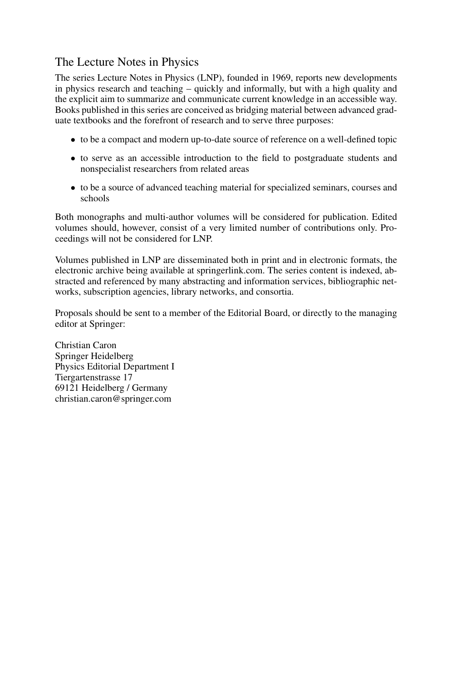### The Lecture Notes in Physics

The series Lecture Notes in Physics (LNP), founded in 1969, reports new developments in physics research and teaching – quickly and informally, but with a high quality and the explicit aim to summarize and communicate current knowledge in an accessible way. Books published in this series are conceived as bridging material between advanced graduate textbooks and the forefront of research and to serve three purposes:

- to be a compact and modern up-to-date source of reference on a well-defined topic
- to serve as an accessible introduction to the field to postgraduate students and nonspecialist researchers from related areas
- to be a source of advanced teaching material for specialized seminars, courses and schools

Both monographs and multi-author volumes will be considered for publication. Edited volumes should, however, consist of a very limited number of contributions only. Proceedings will not be considered for LNP.

Volumes published in LNP are disseminated both in print and in electronic formats, the electronic archive being available at springerlink.com. The series content is indexed, abstracted and referenced by many abstracting and information services, bibliographic networks, subscription agencies, library networks, and consortia.

Proposals should be sent to a member of the Editorial Board, or directly to the managing editor at Springer:

Christian Caron Springer Heidelberg Physics Editorial Department I Tiergartenstrasse 17 69121 Heidelberg / Germany christian.caron@springer.com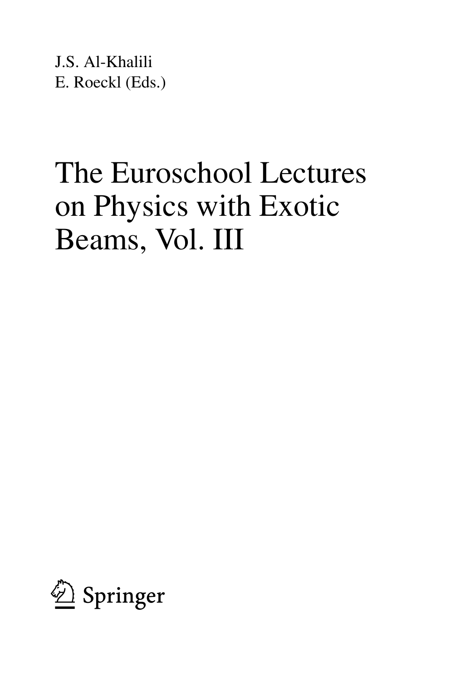J.S. Al-Khalili E. Roeckl (Eds.)

# The Euroschool Lectures on Physics with Exotic Beams, Vol. III

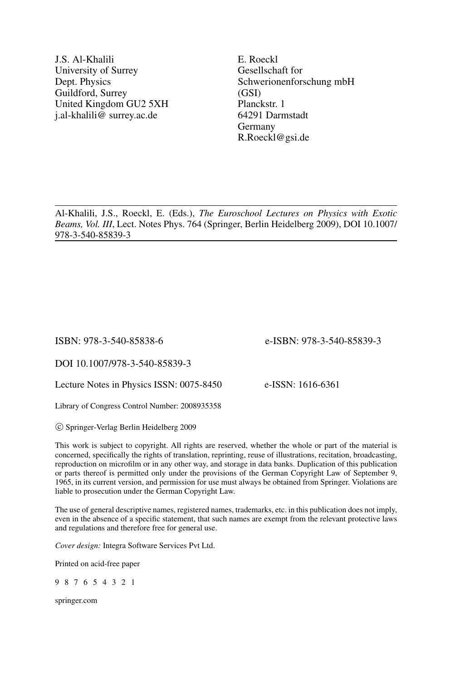J.S. Al-Khalili University of Surrey Dept. Physics Guildford, Surrey United Kingdom GU2 5XH j.al-khalili@ surrey.ac.de

E. Roeckl Gesellschaft for Schwerionenforschung mbH (GSI) Planckstr. 1 64291 Darmstadt Germany R.Roeckl@gsi.de

Al-Khalili, J.S., Roeckl, E. (Eds.), *The Euroschool Lectures on Physics with Exotic Beams, Vol. III*, Lect. Notes Phys. 764 (Springer, Berlin Heidelberg 2009), DOI 10.1007/ 978-3-540-85839-3

ISBN: 978-3-540-85838-6 e-ISBN: 978-3-540-85839-3

DOI 10.1007/978-3-540-85839-3

Lecture Notes in Physics ISSN: 0075-8450 e-ISSN: 1616-6361

Library of Congress Control Number: 2008935358

-c Springer-Verlag Berlin Heidelberg 2009

This work is subject to copyright. All rights are reserved, whether the whole or part of the material is concerned, specifically the rights of translation, reprinting, reuse of illustrations, recitation, broadcasting, reproduction on microfilm or in any other way, and storage in data banks. Duplication of this publication or parts thereof is permitted only under the provisions of the German Copyright Law of September 9, 1965, in its current version, and permission for use must always be obtained from Springer. Violations are liable to prosecution under the German Copyright Law.

The use of general descriptive names, registered names, trademarks, etc. in this publication does not imply, even in the absence of a specific statement, that such names are exempt from the relevant protective laws and regulations and therefore free for general use.

*Cover design:* Integra Software Services Pvt Ltd.

Printed on acid-free paper

987654321

springer.com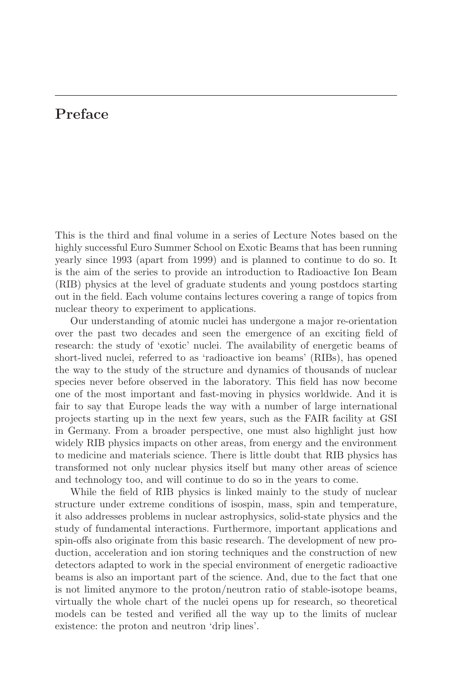## **Preface**

This is the third and final volume in a series of Lecture Notes based on the highly successful Euro Summer School on Exotic Beams that has been running yearly since 1993 (apart from 1999) and is planned to continue to do so. It is the aim of the series to provide an introduction to Radioactive Ion Beam (RIB) physics at the level of graduate students and young postdocs starting out in the field. Each volume contains lectures covering a range of topics from nuclear theory to experiment to applications.

Our understanding of atomic nuclei has undergone a major re-orientation over the past two decades and seen the emergence of an exciting field of research: the study of 'exotic' nuclei. The availability of energetic beams of short-lived nuclei, referred to as 'radioactive ion beams' (RIBs), has opened the way to the study of the structure and dynamics of thousands of nuclear species never before observed in the laboratory. This field has now become one of the most important and fast-moving in physics worldwide. And it is fair to say that Europe leads the way with a number of large international projects starting up in the next few years, such as the FAIR facility at GSI in Germany. From a broader perspective, one must also highlight just how widely RIB physics impacts on other areas, from energy and the environment to medicine and materials science. There is little doubt that RIB physics has transformed not only nuclear physics itself but many other areas of science and technology too, and will continue to do so in the years to come.

While the field of RIB physics is linked mainly to the study of nuclear structure under extreme conditions of isospin, mass, spin and temperature, it also addresses problems in nuclear astrophysics, solid-state physics and the study of fundamental interactions. Furthermore, important applications and spin-offs also originate from this basic research. The development of new production, acceleration and ion storing techniques and the construction of new detectors adapted to work in the special environment of energetic radioactive beams is also an important part of the science. And, due to the fact that one is not limited anymore to the proton/neutron ratio of stable-isotope beams, virtually the whole chart of the nuclei opens up for research, so theoretical models can be tested and verified all the way up to the limits of nuclear existence: the proton and neutron 'drip lines'.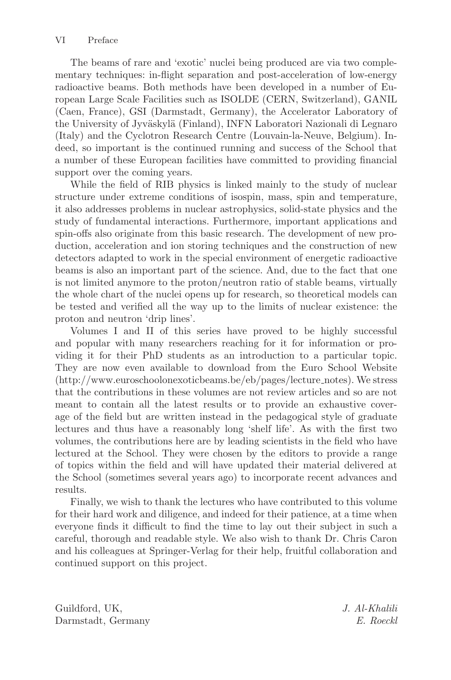The beams of rare and 'exotic' nuclei being produced are via two complementary techniques: in-flight separation and post-acceleration of low-energy radioactive beams. Both methods have been developed in a number of European Large Scale Facilities such as ISOLDE (CERN, Switzerland), GANIL (Caen, France), GSI (Darmstadt, Germany), the Accelerator Laboratory of the University of Jyväskylä (Finland), INFN Laboratori Nazionali di Legnaro (Italy) and the Cyclotron Research Centre (Louvain-la-Neuve, Belgium). Indeed, so important is the continued running and success of the School that a number of these European facilities have committed to providing financial support over the coming years.

While the field of RIB physics is linked mainly to the study of nuclear structure under extreme conditions of isospin, mass, spin and temperature, it also addresses problems in nuclear astrophysics, solid-state physics and the study of fundamental interactions. Furthermore, important applications and spin-offs also originate from this basic research. The development of new production, acceleration and ion storing techniques and the construction of new detectors adapted to work in the special environment of energetic radioactive beams is also an important part of the science. And, due to the fact that one is not limited anymore to the proton/neutron ratio of stable beams, virtually the whole chart of the nuclei opens up for research, so theoretical models can be tested and verified all the way up to the limits of nuclear existence: the proton and neutron 'drip lines'.

Volumes I and II of this series have proved to be highly successful and popular with many researchers reaching for it for information or providing it for their PhD students as an introduction to a particular topic. They are now even available to download from the Euro School Website (http://www.euroschoolonexoticbeams.be/eb/pages/lecture notes). We stress that the contributions in these volumes are not review articles and so are not meant to contain all the latest results or to provide an exhaustive coverage of the field but are written instead in the pedagogical style of graduate lectures and thus have a reasonably long 'shelf life'. As with the first two volumes, the contributions here are by leading scientists in the field who have lectured at the School. They were chosen by the editors to provide a range of topics within the field and will have updated their material delivered at the School (sometimes several years ago) to incorporate recent advances and results.

Finally, we wish to thank the lectures who have contributed to this volume for their hard work and diligence, and indeed for their patience, at a time when everyone finds it difficult to find the time to lay out their subject in such a careful, thorough and readable style. We also wish to thank Dr. Chris Caron and his colleagues at Springer-Verlag for their help, fruitful collaboration and continued support on this project.

Guildford, UK,  $J. Al-Khalili$ Darmstadt, Germany E. Roeckl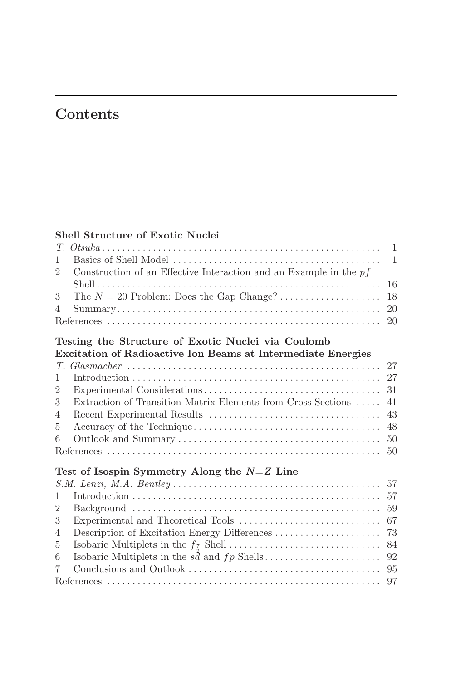## **Contents**

# <span id="page-6-0"></span>**[Shell Structure of Exotic Nuclei](#page-6-0)**<br>  $T$  Otsuke

|                |                                                                                                                                                                                                                                                                                                                                                                                                                                     | -1           |
|----------------|-------------------------------------------------------------------------------------------------------------------------------------------------------------------------------------------------------------------------------------------------------------------------------------------------------------------------------------------------------------------------------------------------------------------------------------|--------------|
| 1              |                                                                                                                                                                                                                                                                                                                                                                                                                                     | $\mathbf{1}$ |
| $\overline{2}$ | Construction of an Effective Interaction and an Example in the $pf$                                                                                                                                                                                                                                                                                                                                                                 |              |
|                |                                                                                                                                                                                                                                                                                                                                                                                                                                     | 16           |
| 3              |                                                                                                                                                                                                                                                                                                                                                                                                                                     | 18           |
| 4              |                                                                                                                                                                                                                                                                                                                                                                                                                                     | 20           |
|                |                                                                                                                                                                                                                                                                                                                                                                                                                                     | 20           |
|                |                                                                                                                                                                                                                                                                                                                                                                                                                                     |              |
|                | Testing the Structure of Exotic Nuclei via Coulomb                                                                                                                                                                                                                                                                                                                                                                                  |              |
|                | Excitation of Radioactive Ion Beams at Intermediate Energies                                                                                                                                                                                                                                                                                                                                                                        |              |
|                |                                                                                                                                                                                                                                                                                                                                                                                                                                     | 27           |
| 1.             |                                                                                                                                                                                                                                                                                                                                                                                                                                     |              |
| $\overline{2}$ |                                                                                                                                                                                                                                                                                                                                                                                                                                     | 31           |
| 3              | Extraction of Transition Matrix Elements from Cross Sections $\,\ldots\, .$                                                                                                                                                                                                                                                                                                                                                         | 41           |
| 4              |                                                                                                                                                                                                                                                                                                                                                                                                                                     | 43           |
| 5              |                                                                                                                                                                                                                                                                                                                                                                                                                                     | 48           |
| 6              |                                                                                                                                                                                                                                                                                                                                                                                                                                     | 50           |
|                |                                                                                                                                                                                                                                                                                                                                                                                                                                     | 50           |
|                | Test of Isospin Symmetry Along the $N=Z$ Line                                                                                                                                                                                                                                                                                                                                                                                       |              |
|                |                                                                                                                                                                                                                                                                                                                                                                                                                                     |              |
| $\mathbf{1}$   | $\text{Introduction} \, \, \ldots \, \, \ldots \, \, \ldots \, \, \ldots \, \, \ldots \, \, \ldots \, \, \ldots \, \, \ldots \, \, \ldots \, \, \ldots \, \, \ldots \, \, \ldots \, \, \ldots \, \, \ldots \, \, \ldots \, \, \ldots \, \, \ldots \, \, \ldots \, \, \ldots \, \, \ldots \, \, \ldots \, \, \ldots \, \, \ldots \, \, \ldots \, \, \ldots \, \, \ldots \, \, \ldots \, \, \ldots \, \, \ldots \, \, \ldots \, \, \$ | 57           |
| $\overline{2}$ |                                                                                                                                                                                                                                                                                                                                                                                                                                     | 59           |
| 3              |                                                                                                                                                                                                                                                                                                                                                                                                                                     | 67           |
| $\overline{4}$ |                                                                                                                                                                                                                                                                                                                                                                                                                                     | 73           |
| 5              |                                                                                                                                                                                                                                                                                                                                                                                                                                     | 84           |
| 6              |                                                                                                                                                                                                                                                                                                                                                                                                                                     | 92           |
| 7              |                                                                                                                                                                                                                                                                                                                                                                                                                                     | 95           |
|                |                                                                                                                                                                                                                                                                                                                                                                                                                                     |              |
|                |                                                                                                                                                                                                                                                                                                                                                                                                                                     |              |